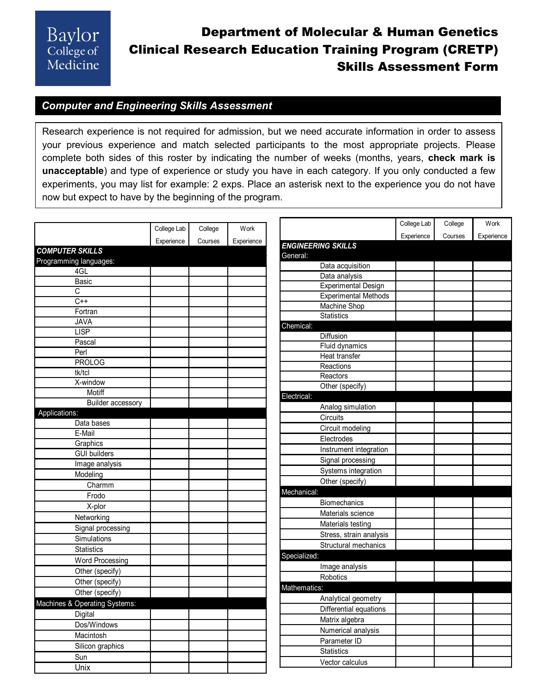## Department of Molecular & Human Genetics Clinical Research Education Training Program (CRETP) Skills Assessment Form

#### *Computer and Engineering Skills Assessment*

Research experience is not required for admission, but we need accurate information in order to assess your previous experience and match selected participants to the most appropriate projects. Please complete both sides of this roster by indicating the number of weeks (months, years, **check mark is unacceptable**) and type of experience or study you have in each category. If you only conducted a few experiments, you may list for example: 2 exps. Place an asterisk next to the experience you do not have now but expect to have by the beginning of the program.

|                               | College Lab | College | Work       |                             | College Lab | College | Work       |
|-------------------------------|-------------|---------|------------|-----------------------------|-------------|---------|------------|
|                               |             |         |            |                             | Experience  | Courses | Experience |
| <b>COMPUTER SKILLS</b>        | Experience  | Courses | Experience | <b>ENGINEERING SKILLS</b>   |             |         |            |
| Programming languages:        |             |         |            | General:                    |             |         |            |
| 4GL                           |             |         |            | Data acquisition            |             |         |            |
| <b>Basic</b>                  |             |         |            | Data analysis               |             |         |            |
| $\overline{\text{c}}$         |             |         |            | <b>Experimental Design</b>  |             |         |            |
| $C++$                         |             |         |            | <b>Experimental Methods</b> |             |         |            |
| Fortran                       |             |         |            | <b>Machine Shop</b>         |             |         |            |
| <b>JAVA</b>                   |             |         |            | <b>Statistics</b>           |             |         |            |
| <b>LISP</b>                   |             |         |            | Chemical:                   |             |         |            |
| Pascal                        |             |         |            | <b>Diffusion</b>            |             |         |            |
| Perl                          |             |         |            | Fluid dynamics              |             |         |            |
| <b>PROLOG</b>                 |             |         |            | Heat transfer               |             |         |            |
| tk/tcl                        |             |         |            | Reactions                   |             |         |            |
| X-window                      |             |         |            | Reactors                    |             |         |            |
| Motiff                        |             |         |            | Other (specify)             |             |         |            |
| <b>Builder accessory</b>      |             |         |            | Electrical:                 |             |         |            |
| Applications:                 |             |         |            | Analog simulation           |             |         |            |
| Data bases                    |             |         |            | Circuits                    |             |         |            |
| E-Mail                        |             |         |            | Circuit modeling            |             |         |            |
| Graphics                      |             |         |            | Electrodes                  |             |         |            |
| <b>GUI builders</b>           |             |         |            | Instrument integration      |             |         |            |
| Image analysis                |             |         |            | Signal processing           |             |         |            |
| Modeling                      |             |         |            | Systems integration         |             |         |            |
| Charmm                        |             |         |            | Other (specify)             |             |         |            |
| Frodo                         |             |         |            | Mechanical:                 |             |         |            |
| X-plor                        |             |         |            | <b>Biomechanics</b>         |             |         |            |
|                               |             |         |            | Materials science           |             |         |            |
| Networking                    |             |         |            | Materials testing           |             |         |            |
| Signal processing             |             |         |            | Stress, strain analysis     |             |         |            |
| Simulations                   |             |         |            | Structural mechanics        |             |         |            |
| <b>Statistics</b>             |             |         |            | Specialized:                |             |         |            |
| <b>Word Processing</b>        |             |         |            | Image analysis              |             |         |            |
| Other (specify)               |             |         |            | <b>Robotics</b>             |             |         |            |
| Other (specify)               |             |         |            | Mathematics:                |             |         |            |
| Other (specify)               |             |         |            | Analytical geometry         |             |         |            |
| Machines & Operating Systems: |             |         |            | Differential equations      |             |         |            |
| Digital                       |             |         |            |                             |             |         |            |
| Dos/Windows                   |             |         |            | Matrix algebra              |             |         |            |
| Macintosh                     |             |         |            | Numerical analysis          |             |         |            |
| Silicon graphics              |             |         |            | Parameter ID                |             |         |            |
| Sun                           |             |         |            | <b>Statistics</b>           |             |         |            |
| Unix                          |             |         |            | Vector calculus             |             |         |            |
|                               |             |         |            |                             |             |         |            |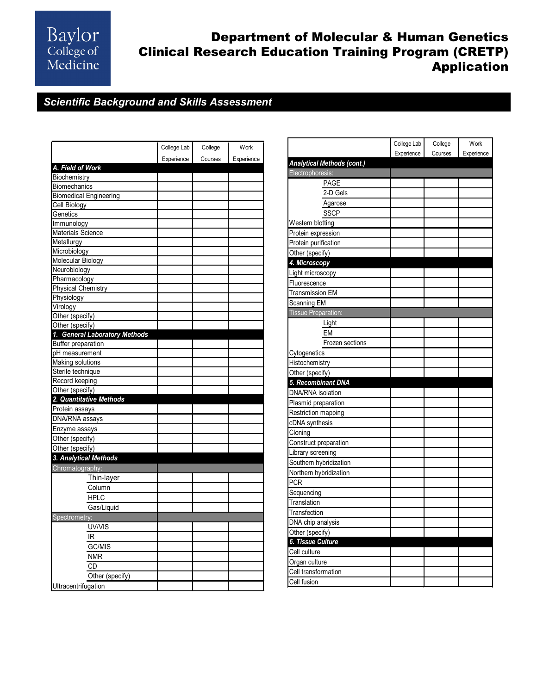# Baylor<br>College of<br>Medicine

### Department of Molecular & Human Genetics Clinical Research Education Training Program (CRETP) Application

#### *Scientific Background and Skills Assessment*

|                               | College Lab | College | Work       |
|-------------------------------|-------------|---------|------------|
|                               | Experience  | Courses | Experience |
| A. Field of Work              |             |         |            |
| Biochemistry                  |             |         |            |
| <b>Biomechanics</b>           |             |         |            |
| <b>Biomedical Engineering</b> |             |         |            |
| Cell Biology                  |             |         |            |
| Genetics                      |             |         |            |
| Immunology                    |             |         |            |
| Materials Science             |             |         |            |
| Metallurgy                    |             |         |            |
| Microbiology                  |             |         |            |
| <b>Molecular Biology</b>      |             |         |            |
| Neurobiology                  |             |         |            |
| Pharmacology                  |             |         |            |
| <b>Physical Chemistry</b>     |             |         |            |
| Physiology                    |             |         |            |
| Virology                      |             |         |            |
| Other (specify)               |             |         |            |
| Other (specify)               |             |         |            |
| 1. General Laboratory Methods |             |         |            |
| <b>Buffer preparation</b>     |             |         |            |
| pH measurement                |             |         |            |
| Making solutions              |             |         |            |
| Sterile technique             |             |         |            |
| Record keeping                |             |         |            |
| Other (specify)               |             |         |            |
| 2. Quantitative Methods       |             |         |            |
| Protein assays                |             |         |            |
| DNA/RNA assays                |             |         |            |
| Enzyme assays                 |             |         |            |
| Other (specify)               |             |         |            |
| Other (specify)               |             |         |            |
| 3. Analytical Methods         |             |         |            |
| Chromatography:               |             |         |            |
| Thin-layer                    |             |         |            |
| Column                        |             |         |            |
| <b>HPLC</b>                   |             |         |            |
| Gas/Liquid                    |             |         |            |
| Spectrometry:                 |             |         |            |
| UV/VIS                        |             |         |            |
| IR                            |             |         |            |
| GC/MIS                        |             |         |            |
| NMR                           |             |         |            |
| CD                            |             |         |            |
| Other (specify)               |             |         |            |
| Ultracentrifugation           |             |         |            |
|                               |             |         |            |

|                            | College Lab | College | Work       |
|----------------------------|-------------|---------|------------|
|                            | Experience  | Courses | Experience |
| Analytical Methods (cont.) |             |         |            |
| Electrophoresis:           |             |         |            |
| <b>PAGE</b>                |             |         |            |
| 2-D Gels                   |             |         |            |
| Agarose                    |             |         |            |
| <b>SSCP</b>                |             |         |            |
| Western blotting           |             |         |            |
| Protein expression         |             |         |            |
| Protein purification       |             |         |            |
| Other (specify)            |             |         |            |
| 4. Microscopy              |             |         |            |
| Light microscopy           |             |         |            |
| Fluorescence               |             |         |            |
| <b>Transmission EM</b>     |             |         |            |
| Scanning EM                |             |         |            |
| Tissue Preparation:        |             |         |            |
| Light                      |             |         |            |
| EM                         |             |         |            |
| Frozen sections            |             |         |            |
| Cytogenetics               |             |         |            |
| Histochemistry             |             |         |            |
| Other (specify)            |             |         |            |
| 5. Recombinant DNA         |             |         |            |
| DNA/RNA isolation          |             |         |            |
| Plasmid preparation        |             |         |            |
| Restriction mapping        |             |         |            |
| cDNA synthesis             |             |         |            |
| Cloning                    |             |         |            |
| Construct preparation      |             |         |            |
| Library screening          |             |         |            |
| Southern hybridization     |             |         |            |
| Northern hybridization     |             |         |            |
| <b>PCR</b>                 |             |         |            |
| Sequencing                 |             |         |            |
| Translation                |             |         |            |
| Transfection               |             |         |            |
| DNA chip analysis          |             |         |            |
| Other (specify)            |             |         |            |
| 6. Tissue Culture          |             |         |            |
| Cell culture               |             |         |            |
| Organ culture              |             |         |            |
| Cell transformation        |             |         |            |
| Cell fusion                |             |         |            |